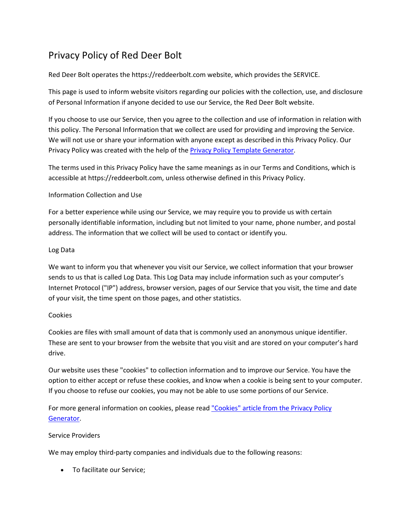# Privacy Policy of Red Deer Bolt

Red Deer Bolt operates the https://reddeerbolt.com website, which provides the SERVICE.

This page is used to inform website visitors regarding our policies with the collection, use, and disclosure of Personal Information if anyone decided to use our Service, the Red Deer Bolt website.

If you choose to use our Service, then you agree to the collection and use of information in relation with this policy. The Personal Information that we collect are used for providing and improving the Service. We will not use or share your information with anyone except as described in this Privacy Policy. Our Privacy Policy was created with the help of the [Privacy Policy Template Generator.](https://www.privacypolicytemplate.net/)

The terms used in this Privacy Policy have the same meanings as in our Terms and Conditions, which is accessible at https://reddeerbolt.com, unless otherwise defined in this Privacy Policy.

## Information Collection and Use

For a better experience while using our Service, we may require you to provide us with certain personally identifiable information, including but not limited to your name, phone number, and postal address. The information that we collect will be used to contact or identify you.

#### Log Data

We want to inform you that whenever you visit our Service, we collect information that your browser sends to us that is called Log Data. This Log Data may include information such as your computer's Internet Protocol ("IP") address, browser version, pages of our Service that you visit, the time and date of your visit, the time spent on those pages, and other statistics.

#### Cookies

Cookies are files with small amount of data that is commonly used an anonymous unique identifier. These are sent to your browser from the website that you visit and are stored on your computer's hard drive.

Our website uses these "cookies" to collection information and to improve our Service. You have the option to either accept or refuse these cookies, and know when a cookie is being sent to your computer. If you choose to refuse our cookies, you may not be able to use some portions of our Service.

For more general information on cookies, please read "Cookies" article from the Privacy Policy [Generator.](https://www.generateprivacypolicy.com/#cookies)

# Service Providers

We may employ third-party companies and individuals due to the following reasons:

• To facilitate our Service;